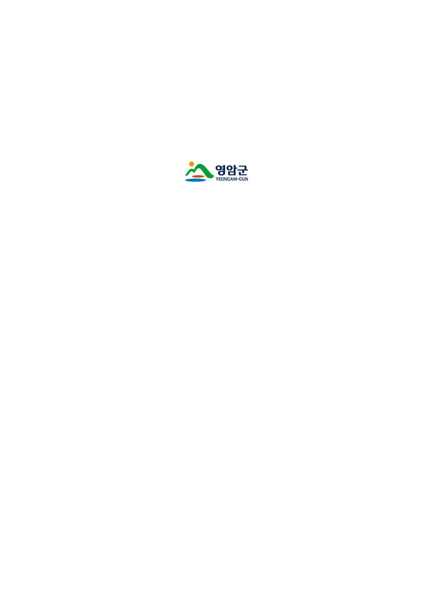